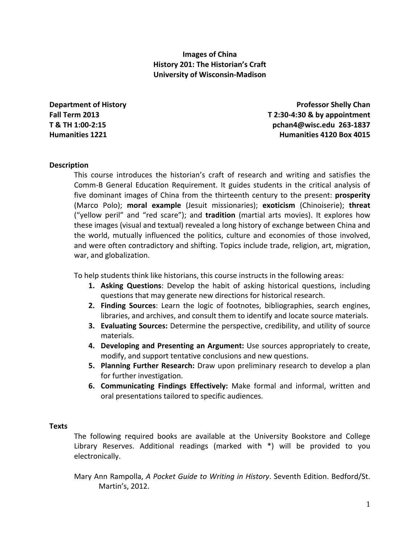**Images of China History 201: The Historian's Craft University of Wisconsin‐Madison**

**Department of History Fall Term 2013 T & TH 1:00‐2:15 Humanities 1221**

**Professor Shelly Chan T 2:30‐4:30 & by appointment pchan4@wisc.edu 263‐1837 Humanities 4120 Box 4015**

## **Description**

This course introduces the historian's craft of research and writing and satisfies the Comm‐B General Education Requirement. It guides students in the critical analysis of five dominant images of China from the thirteenth century to the present: **prosperity** (Marco Polo); **moral example** (Jesuit missionaries); **exoticism** (Chinoiserie); **threat** ("yellow peril" and "red scare"); and **tradition** (martial arts movies). It explores how these images (visual and textual) revealed a long history of exchange between China and the world, mutually influenced the politics, culture and economies of those involved, and were often contradictory and shifting. Topics include trade, religion, art, migration, war, and globalization.

To help students think like historians, this course instructs in the following areas:

- **1. Asking Questions**: Develop the habit of asking historical questions, including questions that may generate new directions for historical research.
- **2. Finding Sources**: Learn the logic of footnotes, bibliographies, search engines, libraries, and archives, and consult them to identify and locate source materials.
- **3. Evaluating Sources:** Determine the perspective, credibility, and utility of source materials.
- **4. Developing and Presenting an Argument:** Use sources appropriately to create, modify, and support tentative conclusions and new questions.
- **5. Planning Further Research:** Draw upon preliminary research to develop a plan for further investigation.
- **6. Communicating Findings Effectively:** Make formal and informal, written and oral presentations tailored to specific audiences.

#### **Texts**

The following required books are available at the University Bookstore and College Library Reserves. Additional readings (marked with \*) will be provided to you electronically.

Mary Ann Rampolla, *A Pocket Guide to Writing in History*. Seventh Edition. Bedford/St. Martin's, 2012.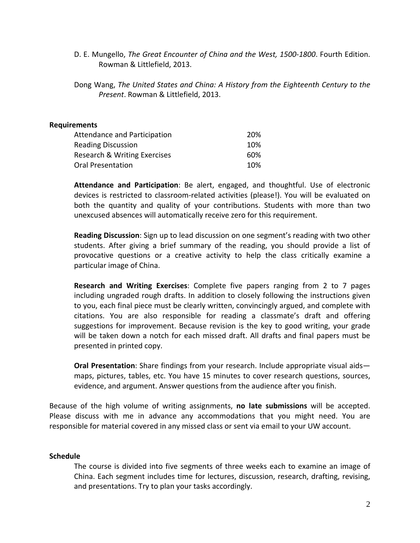- D. E. Mungello, *The Great Encounter of China and the West, 1500‐1800*. Fourth Edition. Rowman & Littlefield, 2013.
- Dong Wang, *The United States and China: A History from the Eighteenth Century to the Present*. Rowman & Littlefield, 2013.

## **Requirements**

| Attendance and Participation | 20% |
|------------------------------|-----|
| <b>Reading Discussion</b>    | 10% |
| Research & Writing Exercises | 60% |
| <b>Oral Presentation</b>     | 10% |

**Attendance and Participation**: Be alert, engaged, and thoughtful. Use of electronic devices is restricted to classroom‐related activities (please!). You will be evaluated on both the quantity and quality of your contributions. Students with more than two unexcused absences will automatically receive zero for this requirement.

**Reading Discussion**: Sign up to lead discussion on one segment's reading with two other students. After giving a brief summary of the reading, you should provide a list of provocative questions or a creative activity to help the class critically examine a particular image of China.

**Research and Writing Exercises**: Complete five papers ranging from 2 to 7 pages including ungraded rough drafts. In addition to closely following the instructions given to you, each final piece must be clearly written, convincingly argued, and complete with citations. You are also responsible for reading a classmate's draft and offering suggestions for improvement. Because revision is the key to good writing, your grade will be taken down a notch for each missed draft. All drafts and final papers must be presented in printed copy.

**Oral Presentation**: Share findings from your research. Include appropriate visual aids maps, pictures, tables, etc. You have 15 minutes to cover research questions, sources, evidence, and argument. Answer questions from the audience after you finish.

Because of the high volume of writing assignments, **no late submissions** will be accepted. Please discuss with me in advance any accommodations that you might need. You are responsible for material covered in any missed class or sent via email to your UW account.

#### **Schedule**

The course is divided into five segments of three weeks each to examine an image of China. Each segment includes time for lectures, discussion, research, drafting, revising, and presentations. Try to plan your tasks accordingly.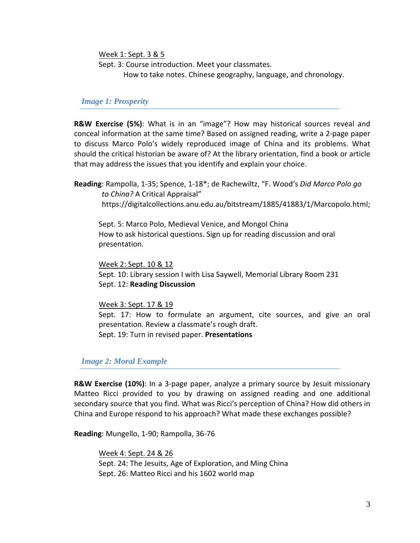Week 1: Sept. 3 & 5

Sept. 3: Course introduction. Meet your classmates. How to take notes. Chinese geography, language, and chronology.

#### *Image 1: Prosperity*

**R&W Exercise (5%)**: What is in an "image"? How may historical sources reveal and conceal information at the same time? Based on assigned reading, write a 2‐page paper to discuss Marco Polo's widely reproduced image of China and its problems. What should the critical historian be aware of? At the library orientation, find a book or article that may address the issues that you identify and explain your choice.

**Reading**: Rampolla, 1‐35; Spence, 1‐18\*; de Rachewiltz, "F. Wood's *Did Marco Polo go to China?* A Critical Appraisal" https://digitalcollections.anu.edu.au/bitstream/1885/41883/1/Marcopolo.html;

Sept. 5: Marco Polo, Medieval Venice, and Mongol China How to ask historical questions. Sign up for reading discussion and oral presentation.

Week 2: Sept. 10 & 12 Sept. 10: Library session I with Lisa Saywell, Memorial Library Room 231 Sept. 12: **Reading Discussion**

Week 3: Sept. 17 & 19

Sept. 17: How to formulate an argument, cite sources, and give an oral presentation. Review a classmate's rough draft. Sept. 19: Turn in revised paper. **Presentations**

*Image 2: Moral Example* 

**R&W Exercise (10%)**: In a 3‐page paper, analyze a primary source by Jesuit missionary Matteo Ricci provided to you by drawing on assigned reading and one additional secondary source that you find. What was Ricci's perception of China? How did others in China and Europe respond to his approach? What made these exchanges possible?

**Reading**: Mungello, 1‐90; Rampolla, 36‐76

Week 4: Sept. 24 & 26 Sept. 24: The Jesuits, Age of Exploration, and Ming China Sept. 26: Matteo Ricci and his 1602 world map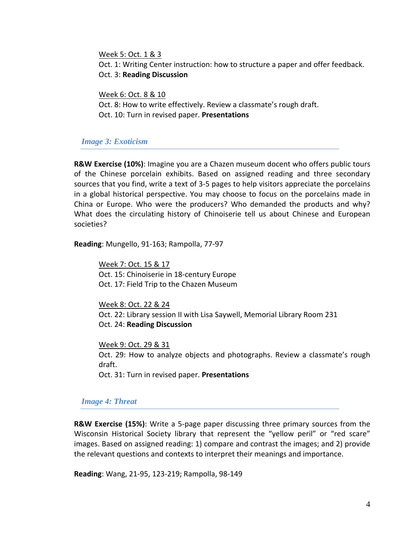Week 5: Oct. 1 & 3 Oct. 1: Writing Center instruction: how to structure a paper and offer feedback. Oct. 3: **Reading Discussion**

Week 6: Oct. 8 & 10

Oct. 8: How to write effectively. Review a classmate's rough draft. Oct. 10: Turn in revised paper. **Presentations**

# *Image 3: Exoticism*

**R&W Exercise (10%)**: Imagine you are a Chazen museum docent who offers public tours of the Chinese porcelain exhibits. Based on assigned reading and three secondary sources that you find, write a text of 3‐5 pages to help visitors appreciate the porcelains in a global historical perspective. You may choose to focus on the porcelains made in China or Europe. Who were the producers? Who demanded the products and why? What does the circulating history of Chinoiserie tell us about Chinese and European societies?

**Reading**: Mungello, 91‐163; Rampolla, 77‐97

Week 7: Oct. 15 & 17 Oct. 15: Chinoiserie in 18‐century Europe Oct. 17: Field Trip to the Chazen Museum

Week 8: Oct. 22 & 24 Oct. 22: Library session II with Lisa Saywell, Memorial Library Room 231 Oct. 24: **Reading Discussion**

Week 9: Oct. 29 & 31 Oct. 29: How to analyze objects and photographs. Review a classmate's rough draft. Oct. 31: Turn in revised paper. **Presentations**

*Image 4: Threat* 

**R&W Exercise (15%)**: Write a 5‐page paper discussing three primary sources from the Wisconsin Historical Society library that represent the "yellow peril" or "red scare" images. Based on assigned reading: 1) compare and contrast the images; and 2) provide the relevant questions and contexts to interpret their meanings and importance.

**Reading**: Wang, 21‐95, 123‐219; Rampolla, 98‐149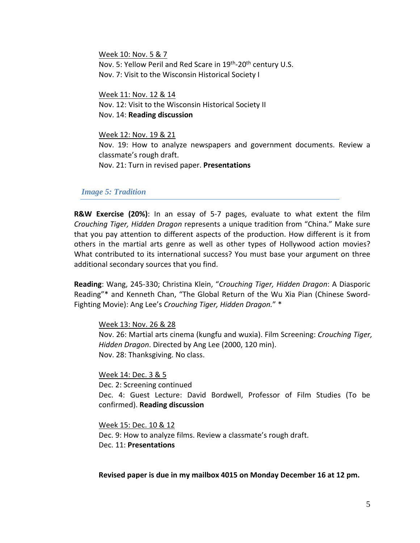Week 10: Nov. 5 & 7 Nov. 5: Yellow Peril and Red Scare in 19<sup>th</sup>-20<sup>th</sup> century U.S. Nov. 7: Visit to the Wisconsin Historical Society I

Week 11: Nov. 12 & 14 Nov. 12: Visit to the Wisconsin Historical Society II Nov. 14: **Reading discussion**

Week 12: Nov. 19 & 21 Nov. 19: How to analyze newspapers and government documents. Review a classmate's rough draft. Nov. 21: Turn in revised paper. **Presentations**

*Image 5: Tradition* 

**R&W Exercise (20%)**: In an essay of 5‐7 pages, evaluate to what extent the film *Crouching Tiger, Hidden Dragon* represents a unique tradition from "China." Make sure that you pay attention to different aspects of the production. How different is it from others in the martial arts genre as well as other types of Hollywood action movies? What contributed to its international success? You must base your argument on three additional secondary sources that you find.

**Reading**: Wang, 245‐330; Christina Klein, "*Crouching Tiger, Hidden Dragon*: A Diasporic Reading"\* and Kenneth Chan, "The Global Return of the Wu Xia Pian (Chinese Sword‐ Fighting Movie): Ang Lee's *Crouching Tiger, Hidden Dragon.*" \*

Week 13: Nov. 26 & 28

Nov. 26: Martial arts cinema (kungfu and wuxia). Film Screening: *Crouching Tiger, Hidden Dragon*. Directed by Ang Lee (2000, 120 min). Nov. 28: Thanksgiving. No class.

Week 14: Dec. 3 & 5 Dec. 2: Screening continued Dec. 4: Guest Lecture: David Bordwell, Professor of Film Studies (To be confirmed). **Reading discussion**

Week 15: Dec. 10 & 12 Dec. 9: How to analyze films. Review a classmate's rough draft. Dec. 11: **Presentations**

**Revised paper is due in my mailbox 4015 on Monday December 16 at 12 pm.**